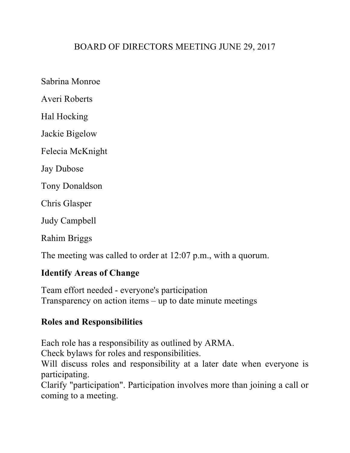# BOARD OF DIRECTORS MEETING JUNE 29, 2017

Sabrina Monroe

Averi Roberts

Hal Hocking

Jackie Bigelow

Felecia McKnight

Jay Dubose

Tony Donaldson

Chris Glasper

Judy Campbell

Rahim Briggs

The meeting was called to order at 12:07 p.m., with a quorum.

### **Identify Areas of Change**

Team effort needed - everyone's participation Transparency on action items – up to date minute meetings

### **Roles and Responsibilities**

Each role has a responsibility as outlined by ARMA.

Check bylaws for roles and responsibilities.

Will discuss roles and responsibility at a later date when everyone is participating.

Clarify "participation". Participation involves more than joining a call or coming to a meeting.